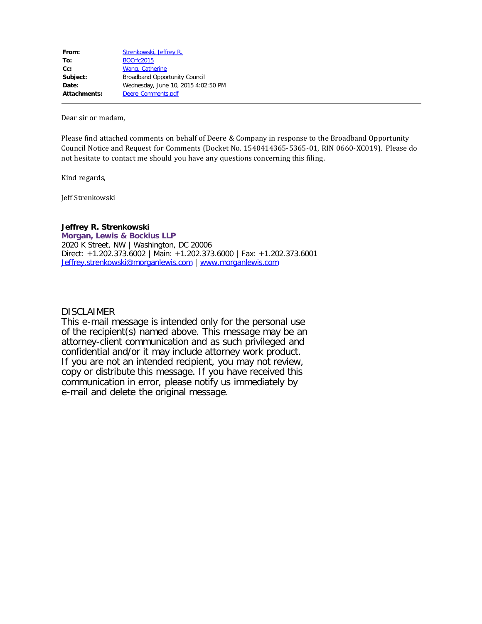| From:        | Strenkowski, Jeffrey R.              |
|--------------|--------------------------------------|
| To:          | <b>BOCrfc2015</b>                    |
| $Cc$ :       | Wang, Catherine                      |
| Subject:     | <b>Broadband Opportunity Council</b> |
| Date:        | Wednesday, June 10, 2015 4:02:50 PM  |
| Attachments: | Deere Comments.pdf                   |
|              |                                      |

Dear sir or madam,

Please find attached comments on behalf of Deere & Company in response to the Broadband Opportunity Council Notice and Request for Comments (Docket No. 1540414365-5365-01, RIN 0660-XC019). Please do not hesitate to contact me should you have any questions concerning this filing.

Kind regards,

Jeff Strenkowski

#### **Jeffrey R. Strenkowski**

**Morgan, Lewis & Bockius LLP** 2020 K Street, NW | Washington, DC 20006 Direct: +1.202.373.6002 | Main: +1.202.373.6000 | Fax: +1.202.373.6001 [Jeffrey.strenkowski@morganlewis.com](mailto:Jeffrey.strenkowski@morganlewis.com) | [www.morganlewis.com](http://www.morganlewis.com/)

### DISCLAIMER

This e-mail message is intended only for the personal use of the recipient(s) named above. This message may be an attorney-client communication and as such privileged and confidential and/or it may include attorney work product. If you are not an intended recipient, you may not review, copy or distribute this message. If you have received this communication in error, please notify us immediately by e-mail and delete the original message.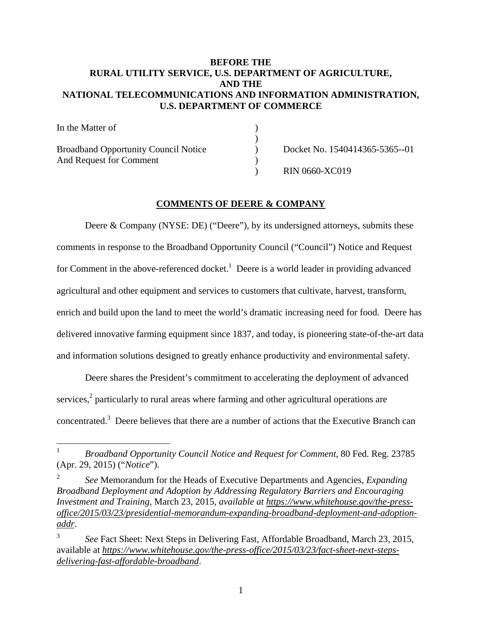## **BEFORE THE RURAL UTILITY SERVICE, U.S. DEPARTMENT OF AGRICULTURE, AND THE NATIONAL TELECOMMUNICATIONS AND INFORMATION ADMINISTRATION, U.S. DEPARTMENT OF COMMERCE**

| In the Matter of                            |                                |
|---------------------------------------------|--------------------------------|
|                                             |                                |
| <b>Broadband Opportunity Council Notice</b> | Docket No. 1540414365-5365--01 |
| And Request for Comment                     |                                |
|                                             | <b>RIN 0660-XC019</b>          |

# **COMMENTS OF DEERE & COMPANY**

Deere & Company (NYSE: DE) ("Deere"), by its undersigned attorneys, submits these comments in response to the Broadband Opportunity Council ("Council") Notice and Request for Comment in the above-referenced docket.<sup>1</sup> Deere is a world leader in providing advanced agricultural and other equipment and services to customers that cultivate, harvest, transform, enrich and build upon the land to meet the world's dramatic increasing need for food. Deere has delivered innovative farming equipment since 1837, and today, is pioneering state-of-the-art data and information solutions designed to greatly enhance productivity and environmental safety.

Deere shares the President's commitment to accelerating the deployment of advanced services,<sup>2</sup> particularly to rural areas where farming and other agricultural operations are concentrated.<sup>3</sup> Deere believes that there are a number of actions that the Executive Branch can

1

2 *See* Memorandum for the Heads of Executive Departments and Agencies, *Expanding Broadband Deployment and Adoption by Addressing Regulatory Barriers and Encouraging Investment and Training,* March 23, 2015, *available at https://www.whitehouse.gov/the-pressoffice/2015/03/23/presidential-memorandum-expanding-broadband-deployment-and-adoptionaddr*.

<sup>1</sup> *Broadband Opportunity Council Notice and Request for Comment*, 80 Fed. Reg. 23785 (Apr. 29, 2015) ("*Notice*").

<sup>3</sup> *See* Fact Sheet: Next Steps in Delivering Fast, Affordable Broadband, March 23, 2015, available at *https://www.whitehouse.gov/the-press-office/2015/03/23/fact-sheet-next-stepsdelivering-fast-affordable-broadband*.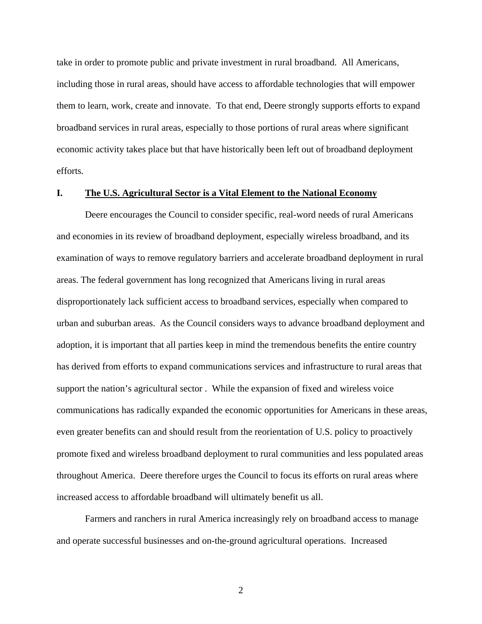take in order to promote public and private investment in rural broadband. All Americans, including those in rural areas, should have access to affordable technologies that will empower them to learn, work, create and innovate. To that end, Deere strongly supports efforts to expand broadband services in rural areas, especially to those portions of rural areas where significant economic activity takes place but that have historically been left out of broadband deployment efforts.

#### **I. The U.S. Agricultural Sector is a Vital Element to the National Economy**

Deere encourages the Council to consider specific, real-word needs of rural Americans and economies in its review of broadband deployment, especially wireless broadband, and its examination of ways to remove regulatory barriers and accelerate broadband deployment in rural areas. The federal government has long recognized that Americans living in rural areas disproportionately lack sufficient access to broadband services, especially when compared to urban and suburban areas. As the Council considers ways to advance broadband deployment and adoption, it is important that all parties keep in mind the tremendous benefits the entire country has derived from efforts to expand communications services and infrastructure to rural areas that support the nation's agricultural sector . While the expansion of fixed and wireless voice communications has radically expanded the economic opportunities for Americans in these areas, even greater benefits can and should result from the reorientation of U.S. policy to proactively promote fixed and wireless broadband deployment to rural communities and less populated areas throughout America. Deere therefore urges the Council to focus its efforts on rural areas where increased access to affordable broadband will ultimately benefit us all.

Farmers and ranchers in rural America increasingly rely on broadband access to manage and operate successful businesses and on-the-ground agricultural operations. Increased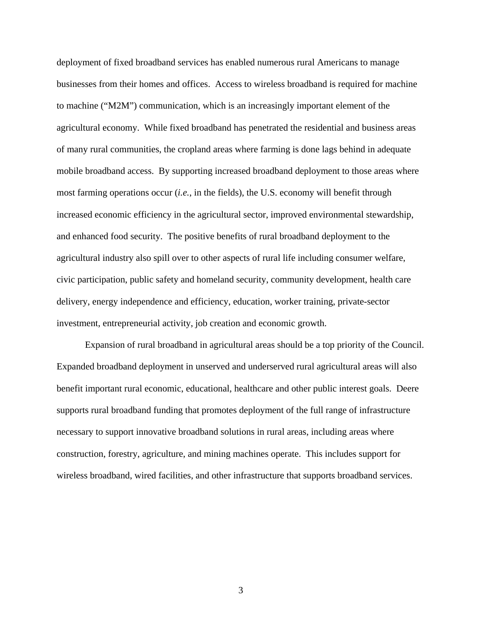deployment of fixed broadband services has enabled numerous rural Americans to manage businesses from their homes and offices. Access to wireless broadband is required for machine to machine ("M2M") communication, which is an increasingly important element of the agricultural economy. While fixed broadband has penetrated the residential and business areas of many rural communities, the cropland areas where farming is done lags behind in adequate mobile broadband access. By supporting increased broadband deployment to those areas where most farming operations occur (*i.e.*, in the fields), the U.S. economy will benefit through increased economic efficiency in the agricultural sector, improved environmental stewardship, and enhanced food security. The positive benefits of rural broadband deployment to the agricultural industry also spill over to other aspects of rural life including consumer welfare, civic participation, public safety and homeland security, community development, health care delivery, energy independence and efficiency, education, worker training, private-sector investment, entrepreneurial activity, job creation and economic growth.

Expansion of rural broadband in agricultural areas should be a top priority of the Council. Expanded broadband deployment in unserved and underserved rural agricultural areas will also benefit important rural economic, educational, healthcare and other public interest goals. Deere supports rural broadband funding that promotes deployment of the full range of infrastructure necessary to support innovative broadband solutions in rural areas, including areas where construction, forestry, agriculture, and mining machines operate. This includes support for wireless broadband, wired facilities, and other infrastructure that supports broadband services.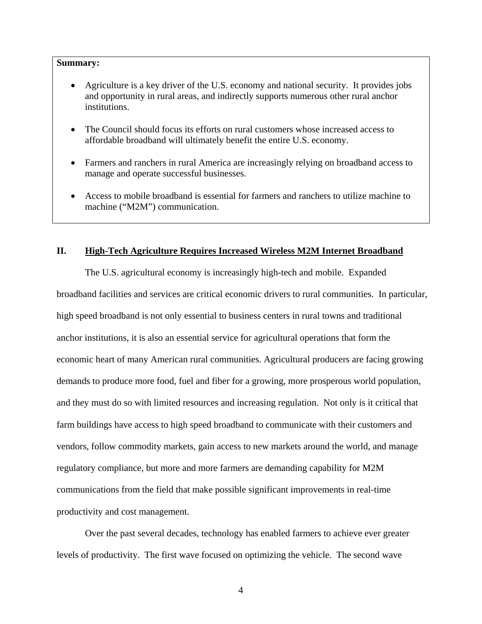#### **Summary:**

- Agriculture is a key driver of the U.S. economy and national security. It provides jobs and opportunity in rural areas, and indirectly supports numerous other rural anchor institutions.
- The Council should focus its efforts on rural customers whose increased access to affordable broadband will ultimately benefit the entire U.S. economy.
- Farmers and ranchers in rural America are increasingly relying on broadband access to manage and operate successful businesses.
- Access to mobile broadband is essential for farmers and ranchers to utilize machine to machine ("M2M") communication.

### **II. High-Tech Agriculture Requires Increased Wireless M2M Internet Broadband**

The U.S. agricultural economy is increasingly high-tech and mobile. Expanded broadband facilities and services are critical economic drivers to rural communities. In particular, high speed broadband is not only essential to business centers in rural towns and traditional anchor institutions, it is also an essential service for agricultural operations that form the economic heart of many American rural communities. Agricultural producers are facing growing demands to produce more food, fuel and fiber for a growing, more prosperous world population, and they must do so with limited resources and increasing regulation. Not only is it critical that farm buildings have access to high speed broadband to communicate with their customers and vendors, follow commodity markets, gain access to new markets around the world, and manage regulatory compliance, but more and more farmers are demanding capability for M2M communications from the field that make possible significant improvements in real-time productivity and cost management.

Over the past several decades, technology has enabled farmers to achieve ever greater levels of productivity. The first wave focused on optimizing the vehicle. The second wave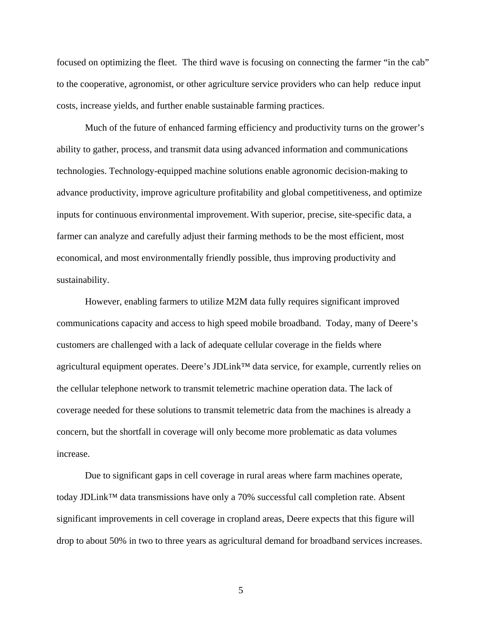focused on optimizing the fleet. The third wave is focusing on connecting the farmer "in the cab" to the cooperative, agronomist, or other agriculture service providers who can help reduce input costs, increase yields, and further enable sustainable farming practices.

Much of the future of enhanced farming efficiency and productivity turns on the grower's ability to gather, process, and transmit data using advanced information and communications technologies. Technology-equipped machine solutions enable agronomic decision-making to advance productivity, improve agriculture profitability and global competitiveness, and optimize inputs for continuous environmental improvement. With superior, precise, site-specific data, a farmer can analyze and carefully adjust their farming methods to be the most efficient, most economical, and most environmentally friendly possible, thus improving productivity and sustainability.

However, enabling farmers to utilize M2M data fully requires significant improved communications capacity and access to high speed mobile broadband. Today, many of Deere's customers are challenged with a lack of adequate cellular coverage in the fields where agricultural equipment operates. Deere's JDLink™ data service, for example, currently relies on the cellular telephone network to transmit telemetric machine operation data. The lack of coverage needed for these solutions to transmit telemetric data from the machines is already a concern, but the shortfall in coverage will only become more problematic as data volumes increase.

Due to significant gaps in cell coverage in rural areas where farm machines operate, today JDLink™ data transmissions have only a 70% successful call completion rate. Absent significant improvements in cell coverage in cropland areas, Deere expects that this figure will drop to about 50% in two to three years as agricultural demand for broadband services increases.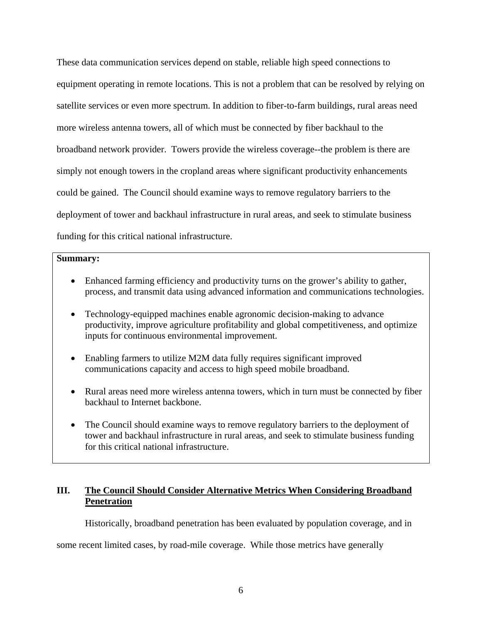These data communication services depend on stable, reliable high speed connections to equipment operating in remote locations. This is not a problem that can be resolved by relying on satellite services or even more spectrum. In addition to fiber-to-farm buildings, rural areas need more wireless antenna towers, all of which must be connected by fiber backhaul to the broadband network provider. Towers provide the wireless coverage--the problem is there are simply not enough towers in the cropland areas where significant productivity enhancements could be gained. The Council should examine ways to remove regulatory barriers to the deployment of tower and backhaul infrastructure in rural areas, and seek to stimulate business funding for this critical national infrastructure.

#### **Summary:**

- Enhanced farming efficiency and productivity turns on the grower's ability to gather, process, and transmit data using advanced information and communications technologies.
- Technology-equipped machines enable agronomic decision-making to advance productivity, improve agriculture profitability and global competitiveness, and optimize inputs for continuous environmental improvement.
- Enabling farmers to utilize M2M data fully requires significant improved communications capacity and access to high speed mobile broadband.
- Rural areas need more wireless antenna towers, which in turn must be connected by fiber backhaul to Internet backbone.
- The Council should examine ways to remove regulatory barriers to the deployment of tower and backhaul infrastructure in rural areas, and seek to stimulate business funding for this critical national infrastructure.

# **III. The Council Should Consider Alternative Metrics When Considering Broadband Penetration**

Historically, broadband penetration has been evaluated by population coverage, and in

some recent limited cases, by road-mile coverage. While those metrics have generally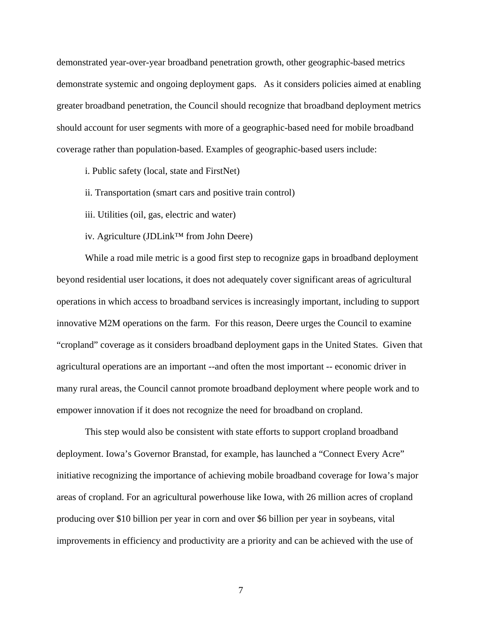demonstrated year-over-year broadband penetration growth, other geographic-based metrics demonstrate systemic and ongoing deployment gaps. As it considers policies aimed at enabling greater broadband penetration, the Council should recognize that broadband deployment metrics should account for user segments with more of a geographic-based need for mobile broadband coverage rather than population-based. Examples of geographic-based users include:

i. Public safety (local, state and FirstNet)

ii. Transportation (smart cars and positive train control)

iii. Utilities (oil, gas, electric and water)

iv. Agriculture (JDLink™ from John Deere)

While a road mile metric is a good first step to recognize gaps in broadband deployment beyond residential user locations, it does not adequately cover significant areas of agricultural operations in which access to broadband services is increasingly important, including to support innovative M2M operations on the farm. For this reason, Deere urges the Council to examine "cropland" coverage as it considers broadband deployment gaps in the United States. Given that agricultural operations are an important --and often the most important -- economic driver in many rural areas, the Council cannot promote broadband deployment where people work and to empower innovation if it does not recognize the need for broadband on cropland.

This step would also be consistent with state efforts to support cropland broadband deployment. Iowa's Governor Branstad, for example, has launched a "Connect Every Acre" initiative recognizing the importance of achieving mobile broadband coverage for Iowa's major areas of cropland. For an agricultural powerhouse like Iowa, with 26 million acres of cropland producing over \$10 billion per year in corn and over \$6 billion per year in soybeans, vital improvements in efficiency and productivity are a priority and can be achieved with the use of